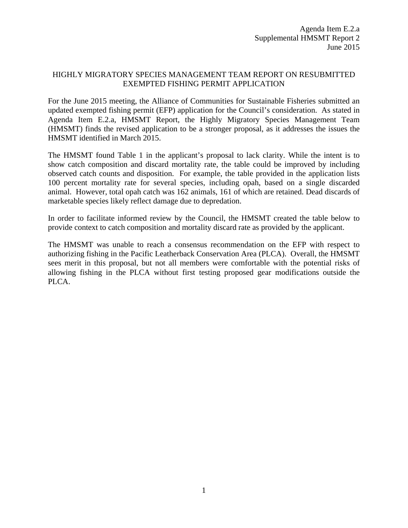## HIGHLY MIGRATORY SPECIES MANAGEMENT TEAM REPORT ON RESUBMITTED EXEMPTED FISHING PERMIT APPLICATION

For the June 2015 meeting, the Alliance of Communities for Sustainable Fisheries submitted an updated exempted fishing permit (EFP) application for the Council's consideration. As stated in Agenda Item E.2.a, HMSMT Report, the Highly Migratory Species Management Team (HMSMT) finds the revised application to be a stronger proposal, as it addresses the issues the HMSMT identified in March 2015.

The HMSMT found Table 1 in the applicant's proposal to lack clarity. While the intent is to show catch composition and discard mortality rate, the table could be improved by including observed catch counts and disposition. For example, the table provided in the application lists 100 percent mortality rate for several species, including opah, based on a single discarded animal. However, total opah catch was 162 animals, 161 of which are retained. Dead discards of marketable species likely reflect damage due to depredation.

In order to facilitate informed review by the Council, the HMSMT created the table below to provide context to catch composition and mortality discard rate as provided by the applicant.

The HMSMT was unable to reach a consensus recommendation on the EFP with respect to authorizing fishing in the Pacific Leatherback Conservation Area (PLCA). Overall, the HMSMT sees merit in this proposal, but not all members were comfortable with the potential risks of allowing fishing in the PLCA without first testing proposed gear modifications outside the PLCA.